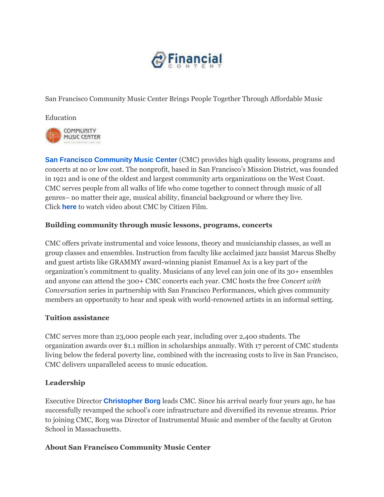

San Francisco Community Music Center Brings People Together Through Affordable Music

Education



**[San Francisco Community Music Center](http://cts.businesswire.com/ct/CT?id=smartlink&url=http%3A%2F%2Fsfcmc.org%2F&esheet=51102647&newsitemid=20150514005161&lan=en-US&anchor=San+Francisco+Community+Music+Center&index=1&md5=23ca0d808c7674b00a06090a65b2aae4)** (CMC) provides high quality lessons, programs and concerts at no or low cost. The nonprofit, based in San Francisco's Mission District, was founded in 1921 and is one of the oldest and largest community arts organizations on the West Coast. CMC serves people from all walks of life who come together to connect through music of all genres– no matter their age, musical ability, financial background or where they live. Click **[here](http://cts.businesswire.com/ct/CT?id=smartlink&url=https%3A%2F%2Fwww.youtube.com%2Fwatch%3Fv%3D_wmjx4L2kVo&esheet=51102647&newsitemid=20150514005161&lan=en-US&anchor=here&index=2&md5=7b1585300304152676d8148842933db3)** to watch video about CMC by Citizen Film.

## **Building community through music lessons, programs, concerts**

CMC offers private instrumental and voice lessons, theory and musicianship classes, as well as group classes and ensembles. Instruction from faculty like acclaimed jazz bassist Marcus Shelby and guest artists like GRAMMY award-winning pianist Emanuel Ax is a key part of the organization's commitment to quality. Musicians of any level can join one of its 30+ ensembles and anyone can attend the 300+ CMC concerts each year. CMC hosts the free *Concert with Conversation* series in partnership with San Francisco Performances, which gives community members an opportunity to hear and speak with world-renowned artists in an informal setting.

## **Tuition assistance**

CMC serves more than 23,000 people each year, including over 2,400 students. The organization awards over \$1.1 million in scholarships annually. With 17 percent of CMC students living below the federal poverty line, combined with the increasing costs to live in San Francisco, CMC delivers unparalleled access to music education.

## **Leadership**

Executive Director **[Christopher Borg](http://cts.businesswire.com/ct/CT?id=smartlink&url=http%3A%2F%2Fsfcmc.org%2Fabout%2Fboard-and-staff%2F%23staff&esheet=51102647&newsitemid=20150514005161&lan=en-US&anchor=Christopher+Borg&index=3&md5=af94c2985da7b26cf976f12fe8a43bf0)** leads CMC. Since his arrival nearly four years ago, he has successfully revamped the school's core infrastructure and diversified its revenue streams. Prior to joining CMC, Borg was Director of Instrumental Music and member of the faculty at Groton School in Massachusetts.

## **About San Francisco Community Music Center**